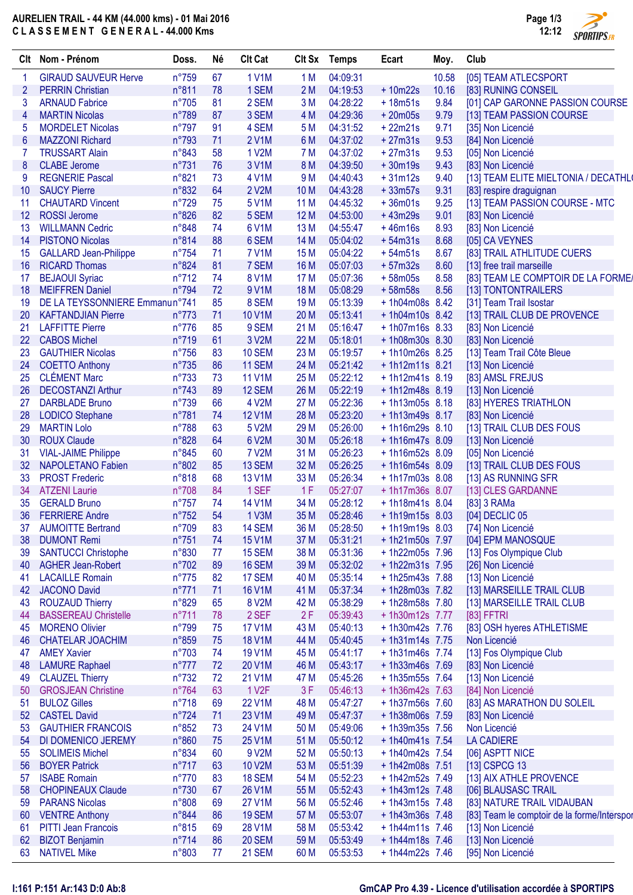# **AURELIEN TRAIL - 44 KM (44.000 kms) - 01 Mai 2016 C L A S S E M E N T G E N E R A L - 44.000 Kms**



|                | Clt Nom - Prénom                              | Doss.                   | Né       | <b>Clt Cat</b>         |                 | Clt Sx Temps | Ecart                              | Moy.  | Club                                        |
|----------------|-----------------------------------------------|-------------------------|----------|------------------------|-----------------|--------------|------------------------------------|-------|---------------------------------------------|
|                | <b>GIRAUD SAUVEUR Herve</b>                   | $n^{\circ}759$          | 67       | <b>1 V1M</b>           | 1 M             | 04:09:31     |                                    | 10.58 | [05] TEAM ATLECSPORT                        |
| $\overline{2}$ | <b>PERRIN Christian</b>                       | n°811                   | 78       | 1 SEM                  | 2M              | 04:19:53     | $+10m22s$                          | 10.16 | [83] RUNING CONSEIL                         |
| 3              | <b>ARNAUD Fabrice</b>                         | $n^{\circ}705$          | 81       | 2 SEM                  | 3M              | 04:28:22     | $+18m51s$                          | 9.84  | [01] CAP GARONNE PASSION COURSE             |
| 4              | <b>MARTIN Nicolas</b>                         | n°789                   | 87       | 3 SEM                  | 4 M             | 04:29:36     | $+20m05s$                          | 9.79  | [13] TEAM PASSION COURSE                    |
| 5              | <b>MORDELET Nicolas</b>                       | $n^{\circ}797$          | 91       | 4 SEM                  | 5 M             | 04:31:52     | $+22m21s$                          | 9.71  | [35] Non Licencié                           |
| 6              | <b>MAZZONI Richard</b>                        | $n^{\circ}793$          | 71       | 2 V1M                  | 6 M             | 04:37:02     | $+27m31s$                          | 9.53  | [84] Non Licencié                           |
| 7              | <b>TRUSSART Alain</b>                         | $n^{\circ}843$          | 58       | 1 V2M                  | 7 M             | 04:37:02     | $+27m31s$                          | 9.53  | [05] Non Licencié                           |
| 8              | <b>CLABE</b> Jerome                           | n°731                   | 76       | 3 V1M                  | 8 M             | 04:39:50     | $+30m19s$                          | 9.43  | [83] Non Licencié                           |
| 9              | <b>REGNERIE Pascal</b>                        | n°821                   | 73       | 4 V1M                  | 9 M             | 04:40:43     | $+31m12s$                          | 9.40  | [13] TEAM ELITE MIELTONIA / DECATHL(        |
| 10             | <b>SAUCY Pierre</b>                           | n°832                   | 64       | 2 V2M                  | 10 <sub>M</sub> | 04:43:28     | $+33m57s$                          | 9.31  | [83] respire draguignan                     |
| 11             | <b>CHAUTARD Vincent</b>                       | $n^{\circ}729$          | 75       | <b>5 V1M</b>           | 11 M            | 04:45:32     | $+36m01s$                          | 9.25  | [13] TEAM PASSION COURSE - MTC              |
| 12             | <b>ROSSI Jerome</b>                           | n°826                   | 82       | 5 SEM                  | 12M             | 04:53:00     | $+43m29s$                          | 9.01  | [83] Non Licencié                           |
| 13             | <b>WILLMANN Cedric</b>                        | n°848                   | 74       | 6 V1M                  | 13M             | 04:55:47     | $+46m16s$                          | 8.93  | [83] Non Licencié                           |
| 14             | <b>PISTONO Nicolas</b>                        | n°814                   | 88       | 6 SEM                  | 14 M            | 05:04:02     | $+54m31s$                          | 8.68  | [05] CA VEYNES                              |
| 15             | <b>GALLARD Jean-Philippe</b>                  | $n^{\circ}754$          | 71       | <b>7 V1M</b>           | 15 <sub>M</sub> | 05:04:22     | $+54m51s$                          | 8.67  | [83] TRAIL ATHLITUDE CUERS                  |
| 16             | <b>RICARD Thomas</b>                          | n°824                   | 81       | 7 SEM                  | 16 <sub>M</sub> | 05:07:03     | $+57m32s$                          | 8.60  | [13] free trail marseille                   |
| 17             | <b>BEJAOUI Syriac</b>                         | $n^{\circ}712$          | 74       | 8 V1M                  | 17 <sub>M</sub> | 05:07:36     | $+58m05s$                          | 8.58  | [83] TEAM LE COMPTOIR DE LA FORME/          |
| 18             | <b>MEIFFREN Daniel</b>                        | $n^{\circ}794$          | 72       | 9 V1M                  | 18 M            | 05:08:29     | $+58m58s$                          | 8.56  | [13] TONTONTRAILERS                         |
| 19             | DE LA TEYSSONNIERE Emmanun°741                |                         | 85       | 8 SEM                  | 19 <sub>M</sub> | 05:13:39     | $+1h04m08s$ 8.42                   |       | [31] Team Trail Isostar                     |
| 20             | <b>KAFTANDJIAN Pierre</b>                     | $n^{\circ}773$          | 71       | <b>10 V1M</b>          | 20 M            | 05:13:41     | + 1h04m10s 8.42                    |       | [13] TRAIL CLUB DE PROVENCE                 |
| 21             | <b>LAFFITTE Pierre</b>                        | $n^{\circ}776$          | 85       | 9 SEM                  | 21 M            | 05:16:47     | $+1h07m16s$ 8.33                   |       | [83] Non Licencié                           |
| 22             | <b>CABOS Michel</b>                           | $n^{\circ}719$          | 61       | 3 V2M                  | 22 M            | 05:18:01     | +1h08m30s 8.30                     |       | [83] Non Licencié                           |
| 23             | <b>GAUTHIER Nicolas</b>                       | $n^{\circ}756$          | 83       | <b>10 SEM</b>          | 23 M            | 05:19:57     | +1h10m26s 8.25                     |       | [13] Team Trail Côte Bleue                  |
| 24             | <b>COETTO Anthony</b>                         | $n^{\circ}735$          | 86       | <b>11 SEM</b>          | 24 M            | 05:21:42     | $+1h12m11s$ 8.21                   |       | [13] Non Licencié                           |
| 25             | <b>CLÉMENT Marc</b>                           | $n^{\circ}733$          | 73       | <b>11 V1M</b>          | 25 M            | 05:22:12     | $+1h12m41s$ 8.19                   |       | [83] AMSL FREJUS                            |
| 26             | <b>DECOSTANZI Arthur</b>                      | $n^{\circ}743$          | 89       | 12 SEM                 | 26 M            | 05:22:19     | $+1h12m48s$ 8.19                   |       | [13] Non Licencié                           |
| 27             | <b>DARBLADE Bruno</b>                         | n°739                   | 66       | 4 V2M                  | 27 M            | 05:22:36     | $+1h13m05s$ 8.18                   |       | [83] HYERES TRIATHLON                       |
| 28             | <b>LODICO Stephane</b>                        | n°781                   | 74       | <b>12 V1M</b>          | 28 M            | 05:23:20     | $+1h13m49s$ 8.17                   |       | [83] Non Licencié                           |
| 29             | <b>MARTIN Lolo</b>                            | $n^{\circ}788$          | 63       | 5 V2M                  | 29 M            | 05:26:00     | $+1h16m29s$ 8.10                   |       | [13] TRAIL CLUB DES FOUS                    |
| 30             | <b>ROUX Claude</b>                            | n°828                   | 64       | 6 V2M                  | 30 M            | 05:26:18     | $+1h16m47s$ 8.09                   |       |                                             |
|                | <b>VIAL-JAIME Philippe</b>                    | $n^{\circ}845$          |          | <b>7 V2M</b>           | 31 M            | 05:26:23     | +1h16m52s 8.09                     |       | [13] Non Licencié<br>[05] Non Licencié      |
| 31             | <b>NAPOLETANO Fabien</b>                      | n°802                   | 60<br>85 | 13 SEM                 | 32 M            | 05:26:25     | $+1h16m54s$ 8.09                   |       | [13] TRAIL CLUB DES FOUS                    |
| 32             |                                               |                         |          |                        |                 | 05:26:34     |                                    |       |                                             |
| 33             | <b>PROST Frederic</b><br><b>ATZENI Laurie</b> | n°818<br>$n^{\circ}708$ | 68<br>84 | <b>13 V1M</b><br>1 SEF | 33 M<br>1F      | 05:27:07     | $+1h17m03s$ 8.08<br>+1h17m36s 8.07 |       | [13] AS RUNNING SFR                         |
| 34<br>35       | <b>GERALD Bruno</b>                           | $n^{\circ}757$          | 74       | 14 V1M                 | 34 M            | 05:28:12     | $+1h18m41s$ 8.04                   |       | [13] CLES GARDANNE<br>[83] 3 RAMa           |
| 36             | <b>FERRIERE Andre</b>                         | $n^{\circ}752$          | 54       | 1 V3M                  | 35 M            | 05:28:46     | $+1h19m15s$ 8.03                   |       | [04] DECLIC 05                              |
| 37             | <b>AUMOITTE Bertrand</b>                      | $n^{\circ}709$          | 83       | 14 SEM                 | 36 M            | 05:28:50     | $+1h19m19s$ 8.03                   |       |                                             |
| 38             | <b>DUMONT Remi</b>                            | $n^{\circ}751$          | 74       | <b>15 V1M</b>          | 37 M            | 05:31:21     | +1h21m50s 7.97                     |       | [74] Non Licencié<br>[04] EPM MANOSQUE      |
| 39             | <b>SANTUCCI Christophe</b>                    | n°830                   | 77       | <b>15 SEM</b>          | 38 M            | 05:31:36     | +1h22m05s 7.96                     |       | [13] Fos Olympique Club                     |
| 40             | <b>AGHER Jean-Robert</b>                      | $n^{\circ}702$          | 89       | <b>16 SEM</b>          | 39 M            | 05:32:02     | $+1h22m31s$ 7.95                   |       | [26] Non Licencié                           |
| 41             | <b>LACAILLE Romain</b>                        | $n^{\circ}775$          | 82       | 17 SEM                 | 40 M            | 05:35:14     | + 1h25m43s 7.88                    |       | [13] Non Licencié                           |
| 42             | <b>JACONO David</b>                           | $n^{\circ}771$          | 71       | <b>16 V1M</b>          | 41 M            | 05:37:34     | + 1h28m03s 7.82                    |       | [13] MARSEILLE TRAIL CLUB                   |
| 43             | <b>ROUZAUD Thierry</b>                        | n°829                   | 65       | 8 V2M                  | 42 M            | 05:38:29     | +1h28m58s 7.80                     |       | [13] MARSEILLE TRAIL CLUB                   |
| 44             | <b>BASSEREAU Christelle</b>                   | $n^{\circ}711$          | 78       | 2 SEF                  | 2F              | 05:39:43     | +1h30m12s 7.77                     |       | $[83]$ FFTRI                                |
| 45             | <b>MORENO Olivier</b>                         | $n^{\circ}799$          | 75       | <b>17 V1M</b>          | 43 M            | 05:40:13     | + 1h30m42s 7.76                    |       | [83] OSH hyeres ATHLETISME                  |
| 46             | <b>CHATELAR JOACHIM</b>                       | n°859                   | 75       | <b>18 V1M</b>          | 44 M            | 05:40:45     | $+1h31m14s$ 7.75                   |       | Non Licencié                                |
| 47             | <b>AMEY Xavier</b>                            | $n^{\circ}703$          | 74       | <b>19 V1M</b>          | 45 M            | 05:41:17     | $+1h31m46s$ 7.74                   |       | [13] Fos Olympique Club                     |
| 48             | <b>LAMURE Raphael</b>                         | $n^{\circ}777$          | 72       | 20 V1M                 | 46 M            | 05:43:17     | + 1h33m46s 7.69                    |       | [83] Non Licencié                           |
| 49             | <b>CLAUZEL Thierry</b>                        | $n^{\circ}732$          | 72       | 21 V1M                 | 47 M            | 05:45:26     | + 1h35m55s 7.64                    |       | [13] Non Licencié                           |
| 50             | <b>GROSJEAN Christine</b>                     | n°764                   | 63       | 1 V <sub>2</sub> F     | 3F              | 05:46:13     | + 1h36m42s 7.63                    |       | [84] Non Licencié                           |
| 51             | <b>BULOZ Gilles</b>                           | $n^{\circ}718$          | 69       | 22 V1M                 | 48 M            | 05:47:27     | + 1h37m56s 7.60                    |       | [83] AS MARATHON DU SOLEIL                  |
| 52             | <b>CASTEL David</b>                           | $n^{\circ}724$          | 71       | 23 V1M                 | 49 M            | 05:47:37     | +1h38m06s 7.59                     |       | [83] Non Licencié                           |
| 53             | <b>GAUTHIER FRANCOIS</b>                      | n°852                   | 73       | 24 V1M                 | 50 M            | 05:49:06     | + 1h39m35s 7.56                    |       | Non Licencié                                |
| 54             | DI DOMENICO JEREMY                            | n°860                   | 75       | 25 V1M                 | 51 M            | 05:50:12     | + 1h40m41s 7.54                    |       | <b>LA CADIERE</b>                           |
| 55             | <b>SOLIMEIS Michel</b>                        | n°834                   | 60       | 9 V2M                  | 52 M            | 05:50:13     | +1h40m42s 7.54                     |       | [06] ASPTT NICE                             |
| 56             | <b>BOYER Patrick</b>                          | $n^{\circ}717$          | 63       | 10 V2M                 | 53 M            | 05:51:39     | +1h42m08s 7.51                     |       | [13] CSPCG 13                               |
| 57             | <b>ISABE Romain</b>                           | $n^{\circ}770$          | 83       | 18 SEM                 | 54 M            | 05:52:23     | + 1h42m52s 7.49                    |       | [13] AIX ATHLE PROVENCE                     |
| 58             | <b>CHOPINEAUX Claude</b>                      | $n^{\circ}730$          | 67       | 26 V1M                 | 55 M            | 05:52:43     | $+1h43m12s$ 7.48                   |       | [06] BLAUSASC TRAIL                         |
| 59             | <b>PARANS Nicolas</b>                         | n°808                   | 69       | 27 V1M                 | 56 M            | 05:52:46     | $+1h43m15s$ 7.48                   |       | [83] NATURE TRAIL VIDAUBAN                  |
| 60             | <b>VENTRE Anthony</b>                         | n°844                   | 86       | <b>19 SEM</b>          | 57 M            | 05:53:07     | $+1h43m36s$ 7.48                   |       | [83] Team le comptoir de la forme/Interspor |
| 61             | <b>PITTI Jean Francois</b>                    | $n^{\circ}815$          | 69       | 28 V1M                 | 58 M            | 05:53:42     | $+1h44m11s$ 7.46                   |       | [13] Non Licencié                           |
| 62             | <b>BIZOT Benjamin</b>                         | $n^{\circ}714$          | 86       | <b>20 SEM</b>          | 59 M            | 05:53:49     | $+1h44m18s$ 7.46                   |       | [13] Non Licencié                           |
| 63             | <b>NATIVEL Mike</b>                           | n°803                   | 77       | <b>21 SEM</b>          | 60 M            | 05:53:53     | $+1h44m22s$ 7.46                   |       | [95] Non Licencié                           |
|                |                                               |                         |          |                        |                 |              |                                    |       |                                             |

### **I:161 P:151 Ar:143 D:0 Ab:8 GmCAP Pro 4.39 - Licence d'utilisation accordée à SPORTIPS**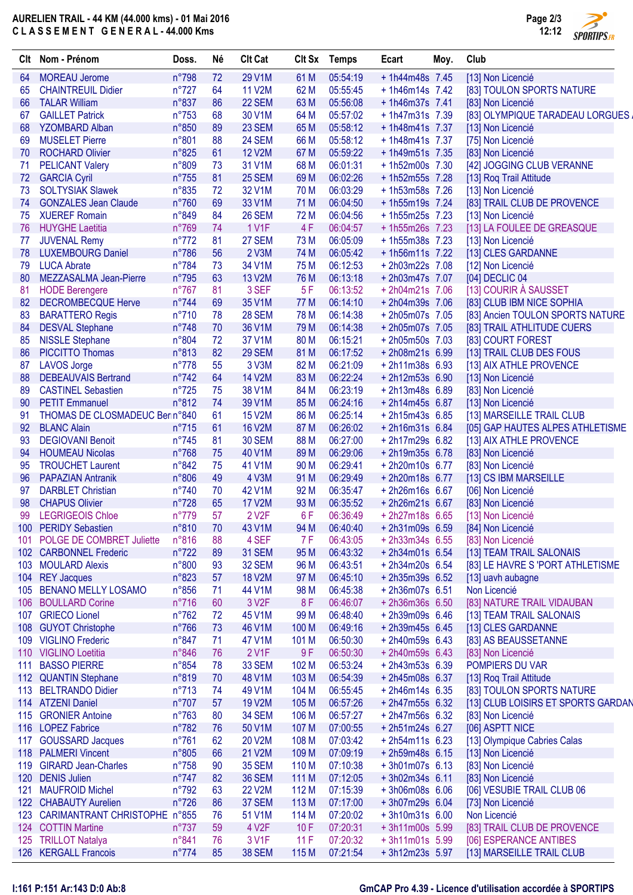# **AURELIEN TRAIL - 44 KM (44.000 kms) - 01 Mai 2016 C L A S S E M E N T G E N E R A L - 44.000 Kms**



| Clt | Nom - Prénom                      | Doss.          | Né     | <b>Clt Cat</b>     | Clt Sx           | Temps    | Ecart            | Moy. | Club                               |
|-----|-----------------------------------|----------------|--------|--------------------|------------------|----------|------------------|------|------------------------------------|
| 64  | <b>MOREAU Jerome</b>              | n°798          | 72     | 29 V1M             | 61 M             | 05:54:19 | $+1h44m48s$ 7.45 |      | [13] Non Licencié                  |
| 65  | <b>CHAINTREUIL Didier</b>         | $n^{\circ}727$ | 64     | <b>11 V2M</b>      | 62 M             | 05:55:45 | $+1h46m14s$ 7.42 |      | [83] TOULON SPORTS NATURE          |
| 66  | <b>TALAR William</b>              | n°837          | 86     | <b>22 SEM</b>      | 63 M             | 05:56:08 | $+1h46m37s$ 7.41 |      | [83] Non Licencié                  |
| 67  | <b>GAILLET Patrick</b>            | $n^{\circ}753$ | 68     | 30 V1M             | 64 M             | 05:57:02 | $+1h47m31s$ 7.39 |      | [83] OLYMPIQUE TARADEAU LORGUES.   |
| 68  | <b>YZOMBARD Alban</b>             | n°850          | 89     | 23 SEM             | 65 M             | 05:58:12 | $+1h48m41s$ 7.37 |      | [13] Non Licencié                  |
| 69  | <b>MUSELET Pierre</b>             | n°801          | 88     | 24 SEM             | 66 M             | 05:58:12 | $+1h48m41s$ 7.37 |      | [75] Non Licencié                  |
| 70  | <b>ROCHARD Olivier</b>            | n°825          | 61     | <b>12 V2M</b>      | 67 M             | 05:59:22 | + 1h49m51s 7.35  |      | [83] Non Licencié                  |
| 71  | <b>PELICANT Valery</b>            | n°809          | 73     | 31 V1M             | 68 M             | 06:01:31 | +1h52m00s 7.30   |      | [42] JOGGING CLUB VERANNE          |
| 72  | <b>GARCIA Cyril</b>               | $n^{\circ}755$ | 81     | 25 SEM             | 69 <sub>M</sub>  | 06:02:26 | + 1h52m55s 7.28  |      | [13] Rog Trail Attitude            |
| 73  | <b>SOLTYSIAK Slawek</b>           | n°835          | 72     | 32 V1M             | 70 M             | 06:03:29 | +1h53m58s 7.26   |      | [13] Non Licencié                  |
| 74  | <b>GONZALES Jean Claude</b>       | n°760          | 69     | 33 V1M             | 71 M             | 06:04:50 | +1h55m19s 7.24   |      | [83] TRAIL CLUB DE PROVENCE        |
| 75  | <b>XUEREF Romain</b>              | n°849          | 84     | 26 SEM             | 72 M             | 06:04:56 | +1h55m25s 7.23   |      | [13] Non Licencié                  |
| 76  | <b>HUYGHE Laetitia</b>            | n°769          | 74     | <b>1 V1F</b>       | 4F               | 06:04:57 | +1h55m26s 7.23   |      | [13] LA FOULEE DE GREASQUE         |
| 77  | <b>JUVENAL Remy</b>               | $n^{\circ}772$ | 81     | 27 SEM             | 73 M             | 06:05:09 | +1h55m38s 7.23   |      | [13] Non Licencié                  |
| 78  | <b>LUXEMBOURG Daniel</b>          | n°786          | 56     | 2 V3M              | 74 M             | 06:05:42 | + 1h56m11s 7.22  |      | [13] CLES GARDANNE                 |
| 79  | <b>LUCA Abrate</b>                | n°784          | 73     | 34 V1M             | 75 M             | 06:12:53 | +2h03m22s 7.08   |      | [12] Non Licencié                  |
| 80  | MEZZASALMA Jean-Pierre            | n°795          | 63     | 13 V2M             | 76 M             | 06:13:18 | +2h03m47s 7.07   |      | [04] DECLIC 04                     |
| 81  | <b>HODE Berengere</b>             | $n^{\circ}767$ | 81     | 3 SEF              | 5F               | 06:13:52 | +2h04m21s 7.06   |      | [13] COURIR À SAUSSET              |
| 82  | <b>DECROMBECQUE Herve</b>         | n°744          | 69     | 35 V1M             | 77 M             | 06:14:10 | +2h04m39s 7.06   |      | [83] CLUB IBM NICE SOPHIA          |
| 83  | <b>BARATTERO Regis</b>            | n°710          | 78     | <b>28 SEM</b>      | 78 M             | 06:14:38 | +2h05m07s 7.05   |      | [83] Ancien TOULON SPORTS NATURE   |
| 84  | <b>DESVAL Stephane</b>            | $n^{\circ}748$ | 70     | 36 V1M             | 79 M             | 06:14:38 | +2h05m07s 7.05   |      | [83] TRAIL ATHLITUDE CUERS         |
| 85  | <b>NISSLE Stephane</b>            | n°804          | 72     | 37 V1M             | 80 M             | 06:15:21 | +2h05m50s 7.03   |      | [83] COURT FOREST                  |
| 86  | <b>PICCITTO Thomas</b>            | n°813          | 82     | 29 SEM             | 81 M             | 06:17:52 | +2h08m21s 6.99   |      | [13] TRAIL CLUB DES FOUS           |
| 87  | <b>LAVOS Jorge</b>                | $n^{\circ}778$ | 55     | 3 V3M              | 82 M             | 06:21:09 | $+2h11m38s$ 6.93 |      | [13] AIX ATHLE PROVENCE            |
| 88  | <b>DEBEAUVAIS Bertrand</b>        | $n^{\circ}742$ | 64     | <b>14 V2M</b>      | 83 M             | 06:22:24 | $+2h12m53s$ 6.90 |      | [13] Non Licencié                  |
| 89  | <b>CASTINEL Sebastien</b>         | $n^{\circ}725$ | 75     | 38 V1M             | 84 M             | 06:23:19 | +2h13m48s 6.89   |      | [83] Non Licencié                  |
| 90  | <b>PETIT Emmanuel</b>             | n°812          | 74     | 39 V1M             | 85 M             | 06:24:16 | +2h14m45s 6.87   |      | [13] Non Licencié                  |
| 91  | THOMAS DE CLOSMADEUC Ber n°840    |                | 61     | <b>15 V2M</b>      | 86 M             | 06:25:14 | $+2h15m43s$ 6.85 |      | [13] MARSEILLE TRAIL CLUB          |
| 92  | <b>BLANC Alain</b>                | $n^{\circ}715$ | 61     | <b>16 V2M</b>      | 87 M             | 06:26:02 | $+2h16m31s$ 6.84 |      | [05] GAP HAUTES ALPES ATHLETISME   |
| 93  | <b>DEGIOVANI Benoit</b>           | $n^{\circ}745$ | 81     | <b>30 SEM</b>      | 88 M             | 06:27:00 | +2h17m29s 6.82   |      | [13] AIX ATHLE PROVENCE            |
| 94  | <b>HOUMEAU Nicolas</b>            | n°768          | 75     | 40 V1M             | 89 M             | 06:29:06 | +2h19m35s 6.78   |      | [83] Non Licencié                  |
| 95  | <b>TROUCHET Laurent</b>           | n°842          | 75     | 41 V1M             | 90 M             | 06:29:41 | +2h20m10s 6.77   |      | [83] Non Licencié                  |
| 96  | <b>PAPAZIAN Antranik</b>          | n°806          | 49     | 4 V3M              | 91 M             | 06:29:49 | +2h20m18s 6.77   |      | [13] CS IBM MARSEILLE              |
| 97  | <b>DARBLET Christian</b>          | $n^{\circ}740$ | 70     | 42 V1M             | 92 M             | 06:35:47 | +2h26m16s 6.67   |      | [06] Non Licencié                  |
| 98  | <b>CHAPUS Olivier</b>             | n°728          | 65     | <b>17 V2M</b>      | 93 M             | 06:35:52 | +2h26m21s 6.67   |      | [83] Non Licencié                  |
| 99  | <b>LEGRIGEOIS Chloe</b>           | n°779          | 57     | 2 V <sub>2</sub> F | 6F               | 06:36:49 | +2h27m18s 6.65   |      | [13] Non Licencié                  |
| 100 | <b>PERIDY Sebastien</b>           | n°810          | $70\,$ | 43 V1M             | 94 M             | 06:40:40 | +2h31m09s 6.59   |      | [84] Non Licencié                  |
| 101 | POLGE DE COMBRET Juliette         | n°816          | 88     | 4 SEF              | 7 F              | 06:43:05 | +2h33m34s 6.55   |      | [83] Non Licencié                  |
|     | 102 CARBONNEL Frederic            | $n^{\circ}722$ | 89     | <b>31 SEM</b>      | 95 M             | 06:43:32 | +2h34m01s 6.54   |      | [13] TEAM TRAIL SALONAIS           |
|     | 103 MOULARD Alexis                | n°800          | 93     | 32 SEM             | 96 M             | 06:43:51 | +2h34m20s 6.54   |      | [83] LE HAVRE S 'PORT ATHLETISME   |
| 104 | <b>REY Jacques</b>                | n°823          | 57     | <b>18 V2M</b>      | 97 M             | 06:45:10 | +2h35m39s 6.52   |      | [13] uavh aubagne                  |
| 105 | <b>BENANO MELLY LOSAMO</b>        | $n^{\circ}856$ | 71     | 44 V1M             | 98 M             | 06:45:38 | +2h36m07s 6.51   |      | Non Licencié                       |
|     | 106 BOULLARD Corine               | $n^{\circ}716$ | 60     | 3 V <sub>2</sub> F | 8F               | 06:46:07 | +2h36m36s 6.50   |      | [83] NATURE TRAIL VIDAUBAN         |
| 107 | <b>GRIECO Lionel</b>              | $n^{\circ}762$ | 72     | 45 V1M             | 99 M             | 06:48:40 | +2h39m09s 6.46   |      | [13] TEAM TRAIL SALONAIS           |
|     | 108 GUYOT Christophe              | $n^{\circ}766$ | 73     | 46 V1M             | 100 M            | 06:49:16 | +2h39m45s 6.45   |      | [13] CLES GARDANNE                 |
|     | 109 VIGLINO Frederic              | $n^{\circ}847$ | 71     | 47 V1M             | 101 <sub>M</sub> | 06:50:30 | +2h40m59s 6.43   |      | [83] AS BEAUSSETANNE               |
|     | 110 VIGLINO Loetitia              | n°846          | 76     | 2 V1F              | 9F               | 06:50:30 | +2h40m59s 6.43   |      | [83] Non Licencié                  |
| 111 | <b>BASSO PIERRE</b>               | $n^{\circ}854$ | 78     | 33 SEM             | 102 M            | 06:53:24 | $+2h43m53s$ 6.39 |      | POMPIERS DU VAR                    |
|     | 112 QUANTIN Stephane              | n°819          | 70     | 48 V1M             | 103 M            | 06:54:39 | +2h45m08s 6.37   |      | [13] Roq Trail Attitude            |
| 113 | <b>BELTRANDO Didier</b>           | $n^{\circ}713$ | 74     | 49 V1M             | 104 M            | 06:55:45 | $+2h46m14s$ 6.35 |      | [83] TOULON SPORTS NATURE          |
|     | 114 ATZENI Daniel                 | n°707          | 57     | 19 V2M             | 105 M            | 06:57:26 | $+2h47m55s$ 6.32 |      | [13] CLUB LOISIRS ET SPORTS GARDAN |
|     | 115 GRONIER Antoine               | $n^{\circ}763$ | 80     | <b>34 SEM</b>      | 106 M            | 06:57:27 | +2h47m56s 6.32   |      | [83] Non Licencié                  |
|     | 116 LOPEZ Fabrice                 | $n^{\circ}782$ | 76     | 50 V1M             | 107 M            | 07:00:55 | $+2h51m24s$ 6.27 |      | [06] ASPTT NICE                    |
| 117 | <b>GOUSSARD Jacques</b>           | $n^{\circ}761$ | 62     | 20 V2M             | 108 M            | 07:03:42 | $+2h54m11s$ 6.23 |      | [13] Olympique Cabries Calas       |
|     | 118 PALMERI Vincent               | n°805          | 66     | 21 V2M             | 109 M            | 07:09:19 | +2h59m48s 6.15   |      | [13] Non Licencié                  |
|     | 119 GIRARD Jean-Charles           | $n^{\circ}758$ | 90     | <b>35 SEM</b>      | 110 <sub>M</sub> | 07:10:38 | $+3h01m07s$ 6.13 |      | [83] Non Licencié                  |
|     | 120 DENIS Julien                  | $n^{\circ}747$ | 82     | <b>36 SEM</b>      | 111 M            | 07:12:05 | $+3h02m34s$ 6.11 |      | [83] Non Licencié                  |
| 121 | <b>MAUFROID Michel</b>            | $n^{\circ}792$ | 63     | <b>22 V2M</b>      | 112 M            | 07:15:39 | +3h06m08s 6.06   |      | [06] VESUBIE TRAIL CLUB 06         |
|     | 122 CHABAUTY Aurelien             | $n^{\circ}726$ | 86     | 37 SEM             | 113 M            | 07:17:00 | $+3h07m29s$ 6.04 |      | [73] Non Licencié                  |
|     | 123 CARIMANTRANT CHRISTOPHE n°855 |                | 76     | 51 V1M             | 114 M            | 07:20:02 | $+3h10m31s$ 6.00 |      | Non Licencié                       |
|     | 124 COTTIN Martine                | $n^{\circ}737$ | 59     | 4 V <sub>2</sub> F | 10F              | 07:20:31 | $+3h11m00s$ 5.99 |      | [83] TRAIL CLUB DE PROVENCE        |
|     | 125 TRILLOT Natalya               | n°841          | 76     | 3 V1F              | 11F              | 07:20:32 | $+3h11m01s$ 5.99 |      | [06] ESPERANCE ANTIBES             |
|     | 126 KERGALL Francois              | $n^{\circ}774$ | 85     | <b>38 SEM</b>      | 115 M            | 07:21:54 | $+3h12m23s$ 5.97 |      | [13] MARSEILLE TRAIL CLUB          |

### **I:161 P:151 Ar:143 D:0 Ab:8 GmCAP Pro 4.39 - Licence d'utilisation accordée à SPORTIPS**